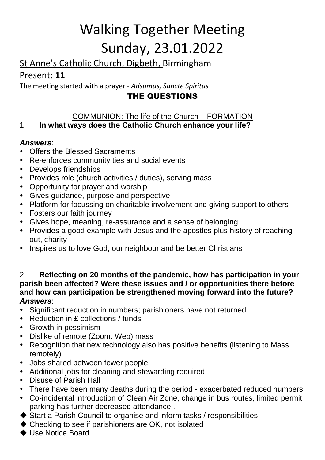# Walking Together Meeting Sunday, 23.01.2022

# St Anne's Catholic Church, Digbeth, Birmingham

# Present: **11**

The meeting started with a prayer - *Adsumus, Sancte Spiritus*

# THE QUESTIONS

# COMMUNION: The life of the Church – FORMATION

## 1. **In what ways does the Catholic Church enhance your life?**

## *Answers*:

- Offers the Blessed Sacraments
- Re-enforces community ties and social events
- Develops friendships
- Provides role (church activities / duties), serving mass
- Opportunity for prayer and worship
- Gives guidance, purpose and perspective
- Platform for focussing on charitable involvement and giving support to others
- Fosters our faith journey
- Gives hope, meaning, re-assurance and a sense of belonging
- Provides a good example with Jesus and the apostles plus history of reaching out, charity
- Inspires us to love God, our neighbour and be better Christians

#### 2. **Reflecting on 20 months of the pandemic, how has participation in your parish been affected? Were these issues and / or opportunities there before and how can participation be strengthened moving forward into the future?** *Answers*:

- Significant reduction in numbers; parishioners have not returned
- Reduction in £ collections / funds
- Growth in pessimism
- Dislike of remote (Zoom. Web) mass
- Recognition that new technology also has positive benefits (listening to Mass remotely)
- Jobs shared between fewer people
- Additional jobs for cleaning and stewarding required
- Disuse of Parish Hall
- There have been many deaths during the period exacerbated reduced numbers.
- Co-incidental introduction of Clean Air Zone, change in bus routes, limited permit parking has further decreased attendance..
- ◆ Start a Parish Council to organise and inform tasks / responsibilities
- ◆ Checking to see if parishioners are OK, not isolated
- ◆ Use Notice Board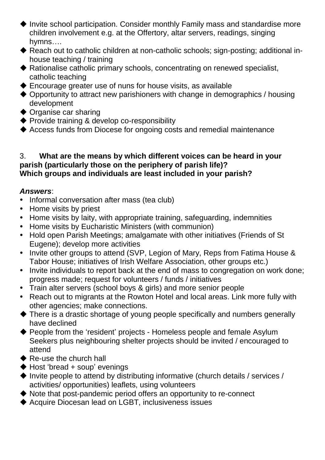- Invite school participation. Consider monthly Family mass and standardise more children involvement e.g. at the Offertory, altar servers, readings, singing hymns….
- ◆ Reach out to catholic children at non-catholic schools; sign-posting; additional inhouse teaching / training
- Rationalise catholic primary schools, concentrating on renewed specialist, catholic teaching
- Encourage greater use of nuns for house visits, as available
- ◆ Opportunity to attract new parishioners with change in demographics / housing development
- ◆ Organise car sharing
- ◆ Provide training & develop co-responsibility
- Access funds from Diocese for ongoing costs and remedial maintenance

#### 3. **What are the means by which different voices can be heard in your parish (particularly those on the periphery of parish life)? Which groups and individuals are least included in your parish?**

- Informal conversation after mass (tea club)
- Home visits by priest
- Home visits by laity, with appropriate training, safeguarding, indemnities
- Home visits by Eucharistic Ministers (with communion)
- Hold open Parish Meetings; amalgamate with other initiatives (Friends of St Eugene); develop more activities
- Invite other groups to attend (SVP, Legion of Mary, Reps from Fatima House & Tabor House; initiatives of Irish Welfare Association, other groups etc.)
- Invite individuals to report back at the end of mass to congregation on work done; progress made; request for volunteers / funds / initiatives
- Train alter servers (school boys & girls) and more senior people
- Reach out to migrants at the Rowton Hotel and local areas. Link more fully with other agencies; make connections.
- There is a drastic shortage of young people specifically and numbers generally have declined
- ◆ People from the 'resident' projects Homeless people and female Asylum Seekers plus neighbouring shelter projects should be invited / encouraged to attend
- ◆ Re-use the church hall
- $\blacklozenge$  Host 'bread + soup' evenings
- $\blacklozenge$  Invite people to attend by distributing informative (church details / services / activities/ opportunities) leaflets, using volunteers
- ◆ Note that post-pandemic period offers an opportunity to re-connect
- ◆ Acquire Diocesan lead on LGBT, inclusiveness issues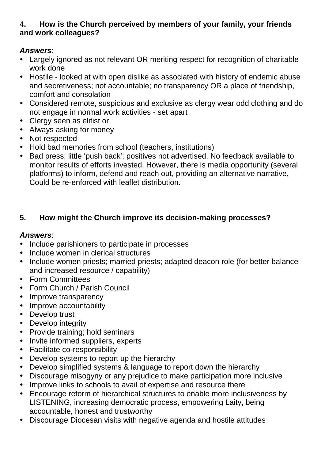#### 4**. How is the Church perceived by members of your family, your friends and work colleagues?**

#### *Answers*:

- Largely ignored as not relevant OR meriting respect for recognition of charitable work done
- Hostile looked at with open dislike as associated with history of endemic abuse and secretiveness; not accountable; no transparency OR a place of friendship, comfort and consolation
- Considered remote, suspicious and exclusive as clergy wear odd clothing and do not engage in normal work activities - set apart
- Clergy seen as elitist or
- Always asking for money
- Not respected
- Hold bad memories from school (teachers, institutions)
- Bad press; little 'push back'; positives not advertised. No feedback available to monitor results of efforts invested. However, there is media opportunity (several platforms) to inform, defend and reach out, providing an alternative narrative, Could be re-enforced with leaflet distribution.

#### **5. How might the Church improve its decision-making processes?**

- Include parishioners to participate in processes
- Include women in clerical structures
- Include women priests; married priests; adapted deacon role (for better balance and increased resource / capability)
- Form Committees
- Form Church / Parish Council
- Improve transparency
- Improve accountability
- Develop trust
- Develop integrity
- Provide training; hold seminars
- Invite informed suppliers, experts
- Facilitate co-responsibility
- Develop systems to report up the hierarchy
- Develop simplified systems & language to report down the hierarchy
- Discourage misogyny or any prejudice to make participation more inclusive
- Improve links to schools to avail of expertise and resource there
- Encourage reform of hierarchical structures to enable more inclusiveness by LISTENING, increasing democratic process, empowering Laity, being accountable, honest and trustworthy
- Discourage Diocesan visits with negative agenda and hostile attitudes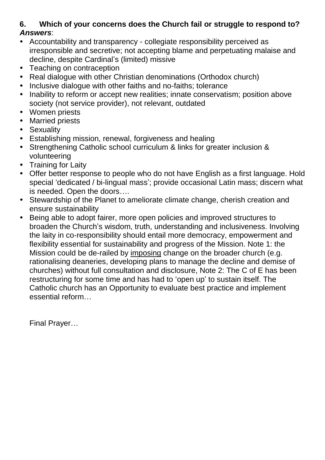#### **6. Which of your concerns does the Church fail or struggle to respond to?** *Answers*:

- Accountability and transparency collegiate responsibility perceived as irresponsible and secretive; not accepting blame and perpetuating malaise and decline, despite Cardinal's (limited) missive
- Teaching on contraception
- Real dialogue with other Christian denominations (Orthodox church)
- Inclusive dialogue with other faiths and no-faiths; tolerance
- Inability to reform or accept new realities; innate conservatism; position above society (not service provider), not relevant, outdated
- Women priests
- Married priests
- Sexuality
- Establishing mission, renewal, forgiveness and healing
- Strengthening Catholic school curriculum & links for greater inclusion & volunteering
- Training for Laity
- Offer better response to people who do not have English as a first language. Hold special 'dedicated / bi-lingual mass'; provide occasional Latin mass; discern what is needed. Open the doors….
- Stewardship of the Planet to ameliorate climate change, cherish creation and ensure sustainability
- Being able to adopt fairer, more open policies and improved structures to broaden the Church's wisdom, truth, understanding and inclusiveness. Involving the laity in co-responsibility should entail more democracy, empowerment and flexibility essential for sustainability and progress of the Mission. Note 1: the Mission could be de-railed by imposing change on the broader church (e.g. rationalising deaneries, developing plans to manage the decline and demise of churches) without full consultation and disclosure, Note 2: The C of E has been restructuring for some time and has had to 'open up' to sustain itself. The Catholic church has an Opportunity to evaluate best practice and implement essential reform…

Final Prayer…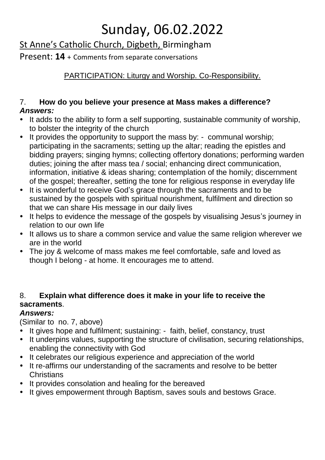# Sunday, 06.02.2022

# St Anne's Catholic Church, Digbeth, Birmingham

Present: **14** + Comments from separate conversations

# PARTICIPATION: Liturgy and Worship. Co-Responsibility.

#### 7. **How do you believe your presence at Mass makes a difference?** *Answers:*

- It adds to the ability to form a self supporting, sustainable community of worship, to bolster the integrity of the church
- It provides the opportunity to support the mass by: communal worship; participating in the sacraments; setting up the altar; reading the epistles and bidding prayers; singing hymns; collecting offertory donations; performing warden duties; joining the after mass tea / social; enhancing direct communication, information, initiative & ideas sharing; contemplation of the homily; discernment of the gospel; thereafter, setting the tone for religious response in everyday life
- It is wonderful to receive God's grace through the sacraments and to be sustained by the gospels with spiritual nourishment, fulfilment and direction so that we can share His message in our daily lives
- It helps to evidence the message of the gospels by visualising Jesus's journey in relation to our own life
- It allows us to share a common service and value the same religion wherever we are in the world
- The joy & welcome of mass makes me feel comfortable, safe and loved as though I belong - at home. It encourages me to attend.

## 8. **Explain what difference does it make in your life to receive the sacraments**.

## *Answers:*

(Similar to no. 7, above)

- It gives hope and fulfilment; sustaining: faith, belief, constancy, trust
- It underpins values, supporting the structure of civilisation, securing relationships, enabling the connectivity with God
- It celebrates our religious experience and appreciation of the world
- It re-affirms our understanding of the sacraments and resolve to be better **Christians**
- It provides consolation and healing for the bereaved
- It gives empowerment through Baptism, saves souls and bestows Grace.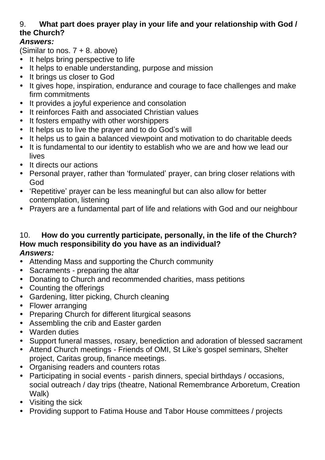## 9. **What part does prayer play in your life and your relationship with God / the Church?**

### *Answers:*

(Similar to nos.  $7 + 8$ . above)

- It helps bring perspective to life
- It helps to enable understanding, purpose and mission
- It brings us closer to God
- It gives hope, inspiration, endurance and courage to face challenges and make firm commitments
- It provides a joyful experience and consolation
- It reinforces Faith and associated Christian values
- It fosters empathy with other worshippers
- It helps us to live the prayer and to do God's will
- It helps us to gain a balanced viewpoint and motivation to do charitable deeds
- It is fundamental to our identity to establish who we are and how we lead our lives
- It directs our actions
- Personal prayer, rather than 'formulated' prayer, can bring closer relations with God
- 'Repetitive' prayer can be less meaningful but can also allow for better contemplation, listening
- Prayers are a fundamental part of life and relations with God and our neighbour

# 10. **How do you currently participate, personally, in the life of the Church? How much responsibility do you have as an individual?**

- Attending Mass and supporting the Church community
- Sacraments preparing the altar
- Donating to Church and recommended charities, mass petitions
- Counting the offerings
- Gardening, litter picking, Church cleaning
- Flower arranging
- Preparing Church for different liturgical seasons
- Assembling the crib and Easter garden
- Warden duties
- Support funeral masses, rosary, benediction and adoration of blessed sacrament
- Attend Church meetings Friends of OMI, St Like's gospel seminars, Shelter project, Caritas group, finance meetings.
- Organising readers and counters rotas
- Participating in social events parish dinners, special birthdays / occasions, social outreach / day trips (theatre, National Remembrance Arboretum, Creation Walk)
- Visiting the sick
- Providing support to Fatima House and Tabor House committees / projects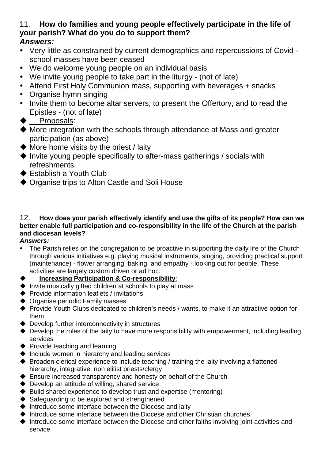#### 11. **How do families and young people effectively participate in the life of your parish? What do you do to support them?** *Answers:*

- Very little as constrained by current demographics and repercussions of Covid school masses have been ceased
- We do welcome young people on an individual basis
- We invite young people to take part in the liturgy (not of late)
- Attend First Holy Communion mass, supporting with beverages + snacks
- Organise hymn singing
- Invite them to become altar servers, to present the Offertory, and to read the Epistles - (not of late)
- ◆ Proposals:
- More integration with the schools through attendance at Mass and greater participation (as above)
- $\blacklozenge$  More home visits by the priest / laity
- $\blacklozenge$  Invite young people specifically to after-mass gatherings / socials with refreshments
- ◆ Establish a Youth Club
- ◆ Organise trips to Alton Castle and Soli House

#### 12. **How does your parish effectively identify and use the gifts of its people? How can we better enable full participation and co-responsibility in the life of the Church at the parish and diocesan levels?**

- The Parish relies on the congregation to be proactive in supporting the daily life of the Church through various initiatives e.g. playing musical instruments, singing, providing practical support (maintenance) - flower arranging, baking, and empathy - looking out for people. These activities are largely custom driven or ad hoc.
- **Increasing Participation & Co-responsibility**:
- $\blacklozenge$  Invite musically gifted children at schools to play at mass
- $\blacklozenge$  Provide information leaflets / invitations
- ◆ Organise periodic Family masses
- Provide Youth Clubs dedicated to children's needs / wants, to make it an attractive option for them
- ◆ Develop further interconnectivity in structures
- Develop the roles of the laity to have more responsibility with empowerment, including leading services
- ◆ Provide teaching and learning
- $\triangle$  Include women in hierarchy and leading services
- $\blacklozenge$  Broaden clerical experience to include teaching / training the laity involving a flattened hierarchy, integrative, non elitist priests/clergy
- ◆ Ensure increased transparency and honesty on behalf of the Church
- ◆ Develop an attitude of willing, shared service
- $\blacklozenge$  Build shared experience to develop trust and expertise (mentoring)
- $\blacklozenge$  Safeguarding to be explored and strengthened
- $\blacklozenge$  Introduce some interface between the Diocese and laity
- $\blacklozenge$  Introduce some interface between the Diocese and other Christian churches
- $\blacklozenge$  Introduce some interface between the Diocese and other faiths involving joint activities and service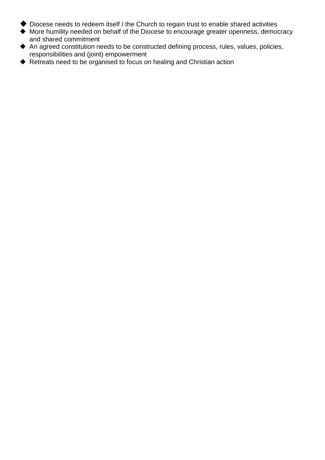- Diocese needs to redeem itself / the Church to regain trust to enable shared activities
- More humility needed on behalf of the Diocese to encourage greater openness, democracy and shared commitment
- An agreed constitution needs to be constructed defining process, rules, values, policies, responsibilities and (joint) empowerment
- ◆ Retreats need to be organised to focus on healing and Christian action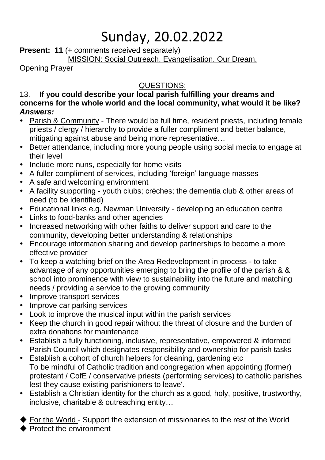# Sunday, 20.02.2022

**Present: 11** (+ comments received separately)

MISSION: Social Outreach. Evangelisation. Our Dream.

Opening Prayer

## QUESTIONS:

#### 13. **If you could describe your local parish fulfilling your dreams and concerns for the whole world and the local community, what would it be like?** *Answers:*

- Parish & Community There would be full time, resident priests, including female priests / clergy / hierarchy to provide a fuller compliment and better balance, mitigating against abuse and being more representative…
- Better attendance, including more young people using social media to engage at their level
- Include more nuns, especially for home visits
- A fuller compliment of services, including 'foreign' language masses
- A safe and welcoming environment
- A facility supporting youth clubs; crèches; the dementia club & other areas of need (to be identified)
- Educational links e.g. Newman University developing an education centre
- Links to food-banks and other agencies
- Increased networking with other faiths to deliver support and care to the community, developing better understanding & relationships
- Encourage information sharing and develop partnerships to become a more effective provider
- To keep a watching brief on the Area Redevelopment in process to take advantage of any opportunities emerging to bring the profile of the parish & & school into prominence with view to sustainability into the future and matching needs / providing a service to the growing community
- Improve transport services
- Improve car parking services
- Look to improve the musical input within the parish services
- Keep the church in good repair without the threat of closure and the burden of extra donations for maintenance
- Establish a fully functioning, inclusive, representative, empowered & informed Parish Council which designates responsibility and ownership for parish tasks
- Establish a cohort of church helpers for cleaning, gardening etc To be mindful of Catholic tradition and congregation when appointing (former) protestant / CofE / conservative priests (performing services) to catholic parishes lest they cause existing parishioners to leave'.
- Establish a Christian identity for the church as a good, holy, positive, trustworthy, inclusive, charitable & outreaching entity…

For the World - Support the extension of missionaries to the rest of the World

Protect the environment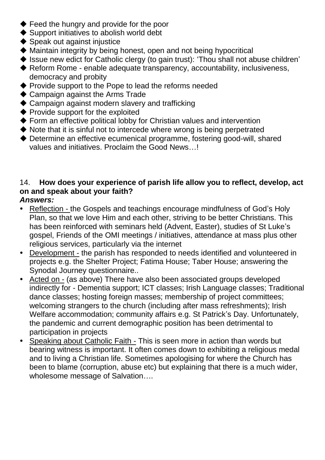- ◆ Feed the hungry and provide for the poor
- ◆ Support initiatives to abolish world debt
- $\blacklozenge$  Speak out against injustice
- Maintain integrity by being honest, open and not being hypocritical
- ◆ Issue new edict for Catholic clergy (to gain trust): 'Thou shall not abuse children'
- ◆ Reform Rome enable adequate transparency, accountability, inclusiveness, democracy and probity
- ◆ Provide support to the Pope to lead the reforms needed
- ◆ Campaign against the Arms Trade
- ◆ Campaign against modern slavery and trafficking
- ◆ Provide support for the exploited
- ◆ Form an effective political lobby for Christian values and intervention
- $\blacklozenge$  Note that it is sinful not to intercede where wrong is being perpetrated
- Determine an effective ecumenical programme, fostering good-will, shared values and initiatives. Proclaim the Good News…!

## 14. **How does your experience of parish life allow you to reflect, develop, act on and speak about your faith?**

- Reflection the Gospels and teachings encourage mindfulness of God's Holy Plan, so that we love Him and each other, striving to be better Christians. This has been reinforced with seminars held (Advent, Easter), studies of St Luke's gospel, Friends of the OMI meetings / initiatives, attendance at mass plus other religious services, particularly via the internet
- Development the parish has responded to needs identified and volunteered in projects e.g. the Shelter Project; Fatima House; Taber House; answering the Synodal Journey questionnaire..
- Acted on (as above) There have also been associated groups developed indirectly for - Dementia support; ICT classes; Irish Language classes; Traditional dance classes; hosting foreign masses; membership of project committees; welcoming strangers to the church (including after mass refreshments); Irish Welfare accommodation; community affairs e.g. St Patrick's Day. Unfortunately, the pandemic and current demographic position has been detrimental to participation in projects
- Speaking about Catholic Faith This is seen more in action than words but bearing witness is important. It often comes down to exhibiting a religious medal and to living a Christian life. Sometimes apologising for where the Church has been to blame (corruption, abuse etc) but explaining that there is a much wider, wholesome message of Salvation….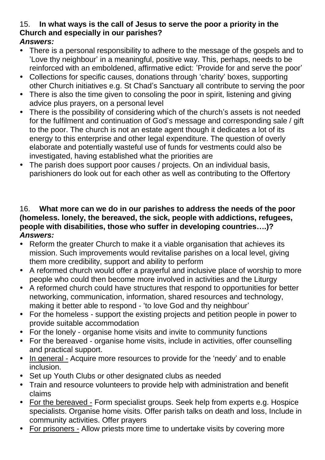#### 15. **In what ways is the call of Jesus to serve the poor a priority in the Church and especially in our parishes?** *Answers:*

- There is a personal responsibility to adhere to the message of the gospels and to 'Love thy neighbour' in a meaningful, positive way. This, perhaps, needs to be reinforced with an emboldened, affirmative edict: 'Provide for and serve the poor'
- Collections for specific causes, donations through 'charity' boxes, supporting other Church initiatives e.g. St Chad's Sanctuary all contribute to serving the poor
- There is also the time given to consoling the poor in spirit, listening and giving advice plus prayers, on a personal level
- There is the possibility of considering which of the church's assets is not needed for the fulfilment and continuation of God's message and corresponding sale / gift to the poor. The church is not an estate agent though it dedicates a lot of its energy to this enterprise and other legal expenditure. The question of overly elaborate and potentially wasteful use of funds for vestments could also be investigated, having established what the priorities are
- The parish does support poor causes / projects. On an individual basis, parishioners do look out for each other as well as contributing to the Offertory

#### 16. **What more can we do in our parishes to address the needs of the poor (homeless. lonely, the bereaved, the sick, people with addictions, refugees, people with disabilities, those who suffer in developing countries….)?**  *Answers:*

- Reform the greater Church to make it a viable organisation that achieves its mission. Such improvements would revitalise parishes on a local level, giving them more credibility, support and ability to perform
- A reformed church would offer a prayerful and inclusive place of worship to more people who could then become more involved in activities and the Liturgy
- A reformed church could have structures that respond to opportunities for better networking, communication, information, shared resources and technology, making it better able to respond - 'to love God and thy neighbour'
- For the homeless support the existing projects and petition people in power to provide suitable accommodation
- For the lonely organise home visits and invite to community functions
- For the bereaved organise home visits, include in activities, offer counselling and practical support.
- In general Acquire more resources to provide for the 'needy' and to enable inclusion.
- Set up Youth Clubs or other designated clubs as needed
- Train and resource volunteers to provide help with administration and benefit claims
- For the bereaved Form specialist groups. Seek help from experts e.g. Hospice specialists. Organise home visits. Offer parish talks on death and loss, Include in community activities. Offer prayers
- For prisoners Allow priests more time to undertake visits by covering more